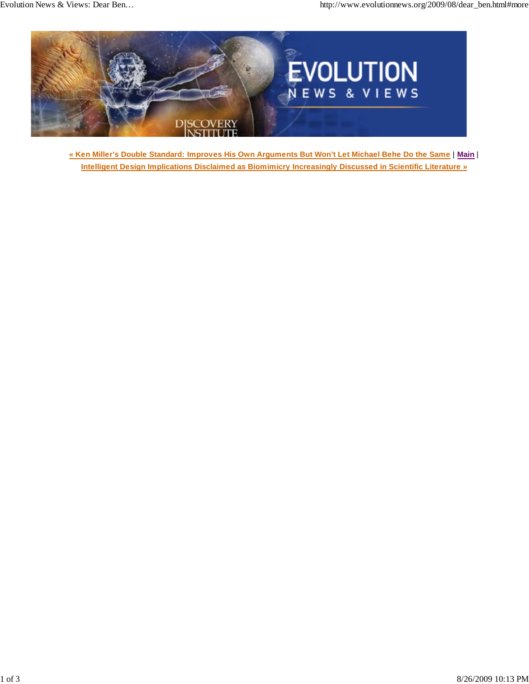

**« Ken Miller's Double Standard: Improves His Own Arguments But Won't Let Michael Behe Do the Same** | **Main** | **Intelligent Design Implications Disclaimed as Biomimicry Increasingly Discussed in Scientific Literature »**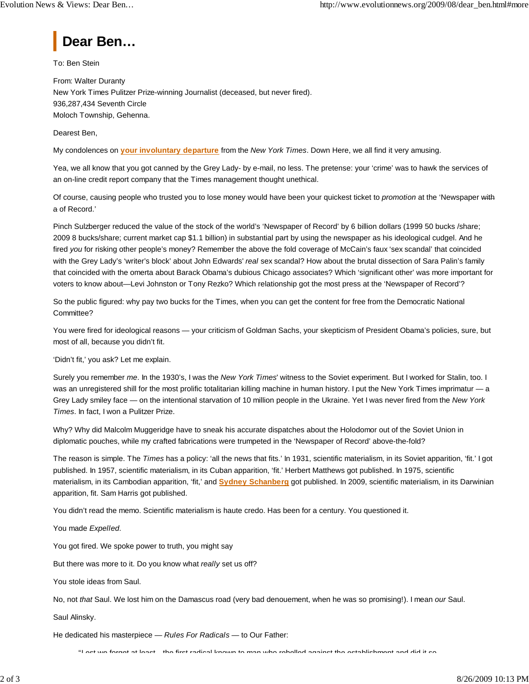

To: Ben Stein

From: Walter Duranty New York Times Pulitzer Prize-winning Journalist (deceased, but never fired). 936,287,434 Seventh Circle Moloch Township, Gehenna.

Dearest Ben,

My condolences on **your involuntary departure** from the *New York Times*. Down Here, we all find it very amusing.

Yea, we all know that you got canned by the Grey Lady- by e-mail, no less. The pretense: your 'crime' was to hawk the services of an on-line credit report company that the Times management thought unethical.

Of course, causing people who trusted you to lose money would have been your quickest ticket to *promotion* at the 'Newspaper with a of Record.'

Pinch Sulzberger reduced the value of the stock of the world's 'Newspaper of Record' by 6 billion dollars (1999 50 bucks /share; 2009 8 bucks/share; current market cap \$1.1 billion) in substantial part by using the newspaper as his ideological cudgel. And he fired *you* for risking other people's money? Remember the above the fold coverage of McCain's faux 'sex scandal' that coincided with the Grey Lady's 'writer's block' about John Edwards' *real* sex scandal? How about the brutal dissection of Sara Palin's family that coincided with the omerta about Barack Obama's dubious Chicago associates? Which 'significant other' was more important for voters to know about—Levi Johnston or Tony Rezko? Which relationship got the most press at the 'Newspaper of Record'?

So the public figured: why pay two bucks for the Times, when you can get the content for free from the Democratic National Committee?

You were fired for ideological reasons — your criticism of Goldman Sachs, your skepticism of President Obama's policies, sure, but most of all, because you didn't fit.

'Didn't fit,' you ask? Let me explain.

Surely you remember *me*. In the 1930's, I was the *New York Times*' witness to the Soviet experiment. But I worked for Stalin, too. I was an unregistered shill for the most prolific totalitarian killing machine in human history. I put the New York Times imprimatur — a Grey Lady smiley face — on the intentional starvation of 10 million people in the Ukraine. Yet I was never fired from the *New York Times*. In fact, I won a Pulitzer Prize.

Why? Why did Malcolm Muggeridge have to sneak his accurate dispatches about the Holodomor out of the Soviet Union in diplomatic pouches, while my crafted fabrications were trumpeted in the 'Newspaper of Record' above-the-fold?

The reason is simple. The *Times* has a policy: 'all the news that fits.' In 1931, scientific materialism, in its Soviet apparition, 'fit.' I got published. In 1957, scientific materialism, in its Cuban apparition, 'fit.' Herbert Matthews got published. In 1975, scientific materialism, in its Cambodian apparition, 'fit,' and **Sydney Schanberg** got published. In 2009, scientific materialism, in its Darwinian apparition, fit. Sam Harris got published.

You didn't read the memo. Scientific materialism is haute credo. Has been for a century. You questioned it.

You made *Expelled*.

You got fired. We spoke power to truth, you might say

But there was more to it. Do you know what *really* set us off?

You stole ideas from Saul.

No, not *that* Saul. We lost him on the Damascus road (very bad denouement, when he was so promising!). I mean *our* Saul.

Saul Alinsky.

He dedicated his masterpiece — *Rules For Radicals* — to Our Father:

"Lest we forget at least the first radical known to man who rebelled against the establishment and did it so